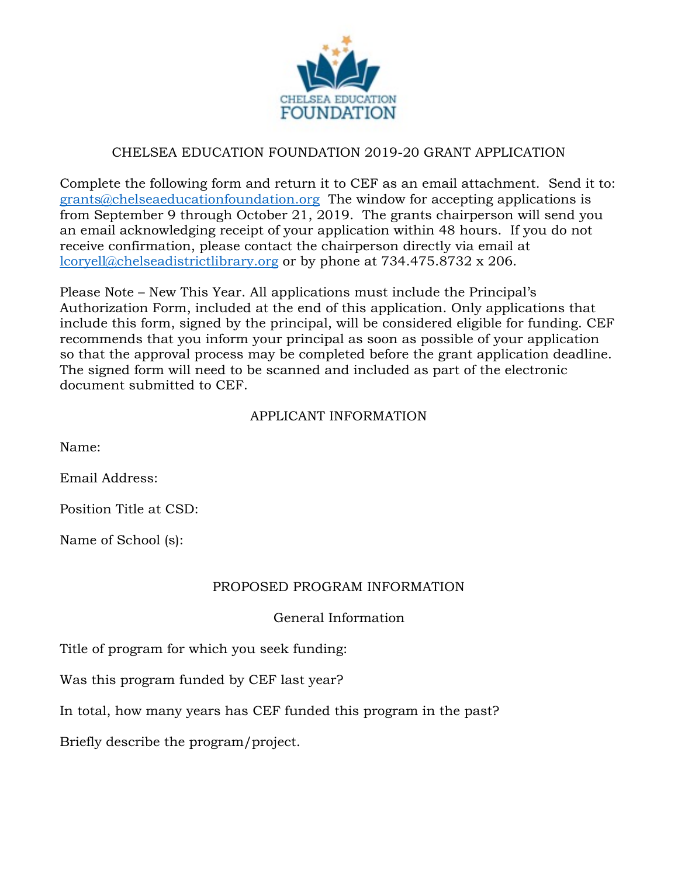

## CHELSEA EDUCATION FOUNDATION 2019-20 GRANT APPLICATION

Complete the following form and return it to CEF as an email attachment. Send it to: [grants@chelseaeducationfoundation.org](mailto:grants@chelseaeducationfoundation.org) The window for accepting applications is from September 9 through October 21, 2019. The grants chairperson will send you an email acknowledging receipt of your application within 48 hours. If you do not receive confirmation, please contact the chairperson directly via email at [lcoryell@chelseadistrictlibrary.org](mailto:lcoryell@chelseadistrictlibrary.org) or by phone at 734.475.8732 x 206.

Please Note – New This Year. All applications must include the Principal's Authorization Form, included at the end of this application. Only applications that include this form, signed by the principal, will be considered eligible for funding. CEF recommends that you inform your principal as soon as possible of your application so that the approval process may be completed before the grant application deadline. The signed form will need to be scanned and included as part of the electronic document submitted to CEF.

#### APPLICANT INFORMATION

Name:

Email Address:

Position Title at CSD:

Name of School (s):

#### PROPOSED PROGRAM INFORMATION

General Information

Title of program for which you seek funding:

Was this program funded by CEF last year?

In total, how many years has CEF funded this program in the past?

Briefly describe the program/project.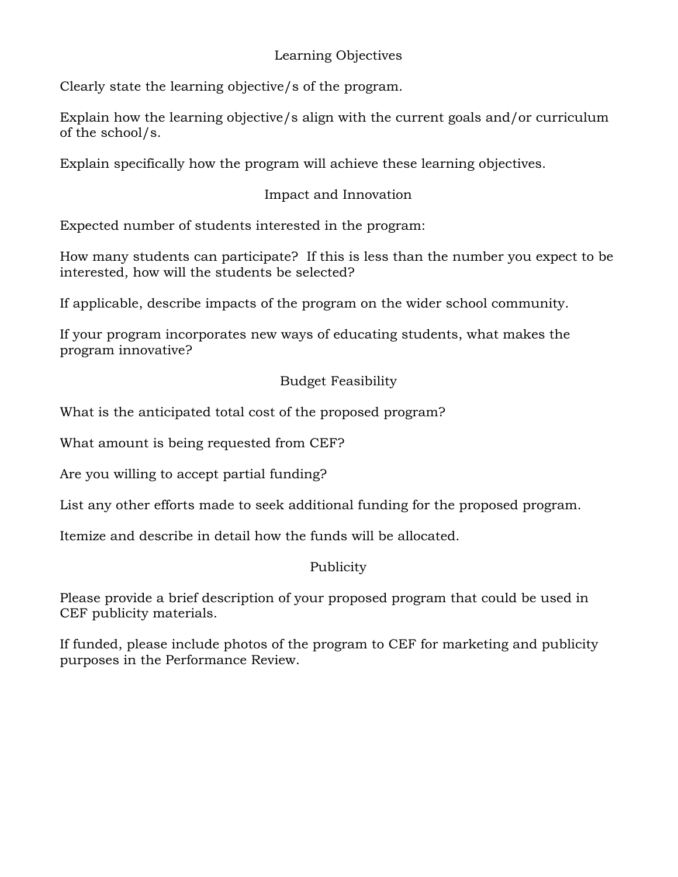# Learning Objectives

Clearly state the learning objective/s of the program.

Explain how the learning objective/s align with the current goals and/or curriculum of the school/s.

Explain specifically how the program will achieve these learning objectives.

# Impact and Innovation

Expected number of students interested in the program:

How many students can participate? If this is less than the number you expect to be interested, how will the students be selected?

If applicable, describe impacts of the program on the wider school community.

If your program incorporates new ways of educating students, what makes the program innovative?

## Budget Feasibility

What is the anticipated total cost of the proposed program?

What amount is being requested from CEF?

Are you willing to accept partial funding?

List any other efforts made to seek additional funding for the proposed program.

Itemize and describe in detail how the funds will be allocated.

## Publicity

Please provide a brief description of your proposed program that could be used in CEF publicity materials.

If funded, please include photos of the program to CEF for marketing and publicity purposes in the Performance Review.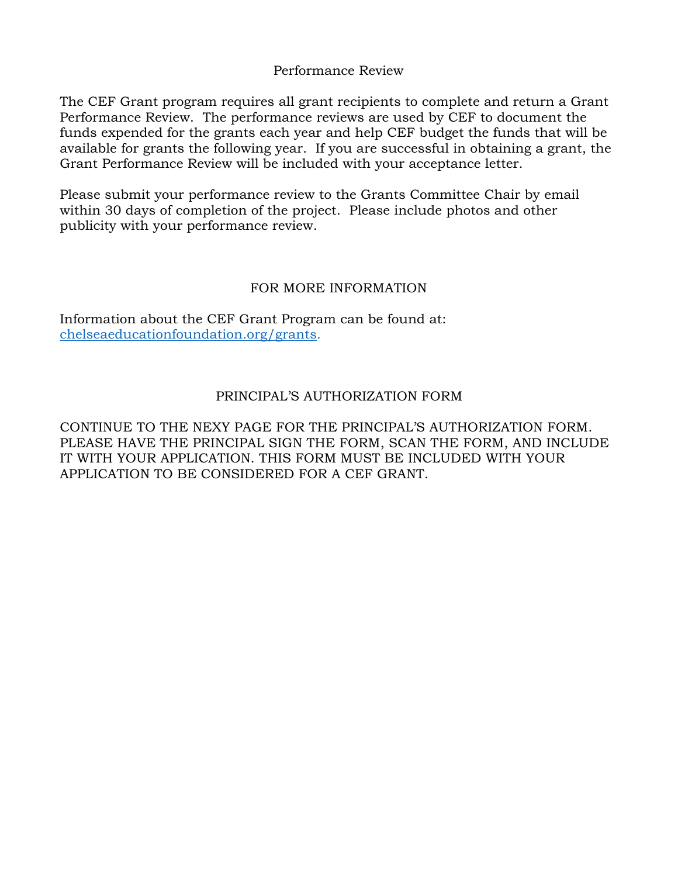Performance Review

The CEF Grant program requires all grant recipients to complete and return a Grant Performance Review. The performance reviews are used by CEF to document the funds expended for the grants each year and help CEF budget the funds that will be available for grants the following year. If you are successful in obtaining a grant, the Grant Performance Review will be included with your acceptance letter.

Please submit your performance review to the Grants Committee Chair by email within 30 days of completion of the project. Please include photos and other publicity with your performance review.

#### FOR MORE INFORMATION

Information about the CEF Grant Program can be found at: [chelseaeducationfoundation.org](mailto:grants@chelseaeducationfoundation.org)/grants.

## PRINCIPAL'S AUTHORIZATION FORM

CONTINUE TO THE NEXY PAGE FOR THE PRINCIPAL'S AUTHORIZATION FORM. PLEASE HAVE THE PRINCIPAL SIGN THE FORM, SCAN THE FORM, AND INCLUDE IT WITH YOUR APPLICATION. THIS FORM MUST BE INCLUDED WITH YOUR APPLICATION TO BE CONSIDERED FOR A CEF GRANT.